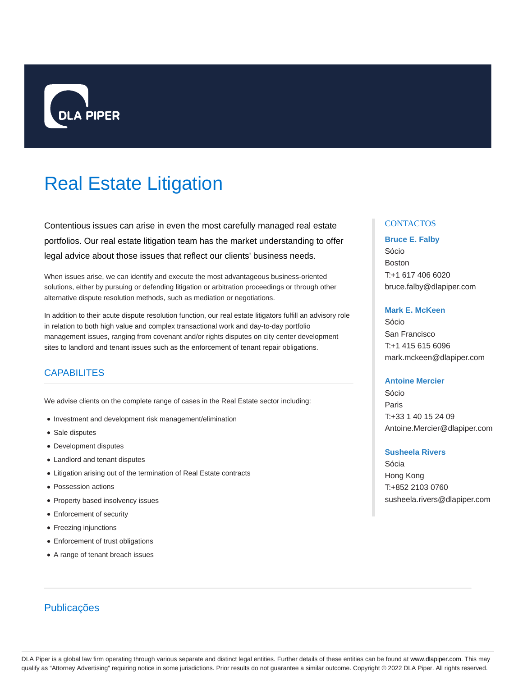

# Real Estate Litigation

Contentious issues can arise in even the most carefully managed real estate portfolios. Our real estate litigation team has the market understanding to offer legal advice about those issues that reflect our clients' business needs.

When issues arise, we can identify and execute the most advantageous business-oriented solutions, either by pursuing or defending litigation or arbitration proceedings or through other alternative dispute resolution methods, such as mediation or negotiations.

In addition to their acute dispute resolution function, our real estate litigators fulfill an advisory role in relation to both high value and complex transactional work and day-to-day portfolio management issues, ranging from covenant and/or rights disputes on city center development sites to landlord and tenant issues such as the enforcement of tenant repair obligations.

# CAPABILITES

We advise clients on the complete range of cases in the Real Estate sector including:

- Investment and development risk management/elimination
- Sale disputes
- Development disputes
- Landlord and tenant disputes
- Litigation arising out of the termination of Real Estate contracts
- Possession actions
- Property based insolvency issues
- Enforcement of security
- Freezing injunctions
- Enforcement of trust obligations
- A range of tenant breach issues

# Publicações

# **CONTACTOS**

#### **Bruce E. Falby**

Sócio Boston T:+1 617 406 6020 bruce.falby@dlapiper.com

## **Mark E. McKeen**

Sócio San Francisco T:+1 415 615 6096 mark.mckeen@dlapiper.com

## **Antoine Mercier**

Sócio Paris T:+33 1 40 15 24 09 Antoine.Mercier@dlapiper.com

### **Susheela Rivers**

Sócia Hong Kong T:+852 2103 0760 susheela.rivers@dlapiper.com